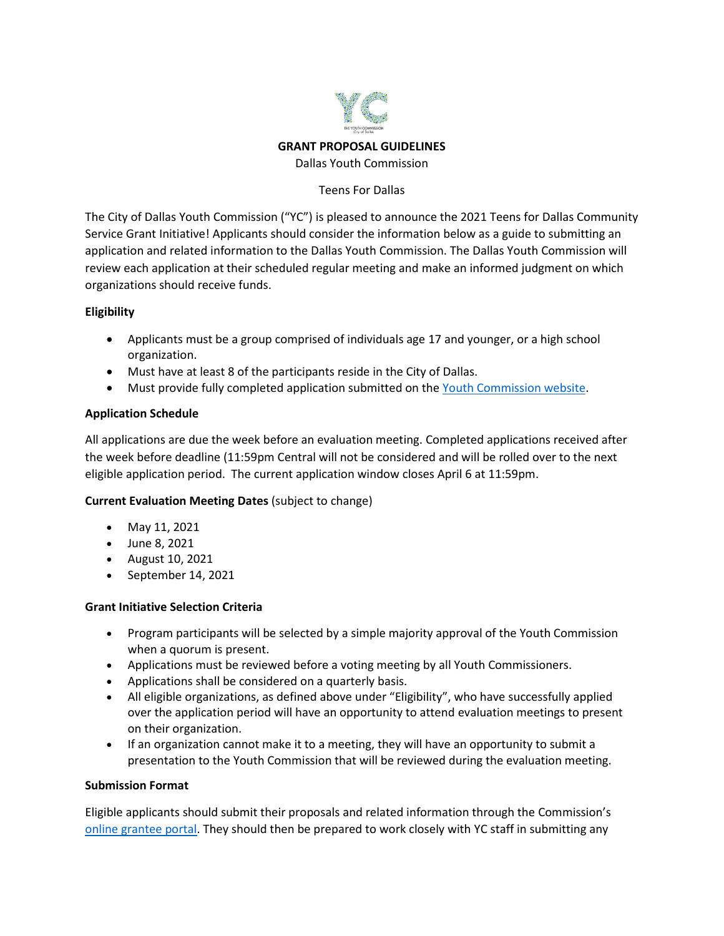

**GRANT PROPOSAL GUIDELINES**

Dallas Youth Commission

#### Teens For Dallas

The City of Dallas Youth Commission ("YC") is pleased to announce the 2021 Teens for Dallas Community Service Grant Initiative! Applicants should consider the information below as a guide to submitting an application and related information to the Dallas Youth Commission. The Dallas Youth Commission will review each application at their scheduled regular meeting and make an informed judgment on which organizations should receive funds.

# **Eligibility**

- Applicants must be a group comprised of individuals age 17 and younger, or a high school organization.
- Must have at least 8 of the participants reside in the City of Dallas.
- Must provide fully completed application submitted on the [Youth Commission website.](https://www.dallasyouthcommission.com/make-a-difference)

# **Application Schedule**

All applications are due the week before an evaluation meeting. Completed applications received after the week before deadline (11:59pm Central will not be considered and will be rolled over to the next eligible application period. The current application window closes April 6 at 11:59pm.

# **Current Evaluation Meeting Dates** (subject to change)

- May 11, 2021
- June 8, 2021
- August 10, 2021
- September 14, 2021

### **Grant Initiative Selection Criteria**

- Program participants will be selected by a simple majority approval of the Youth Commission when a quorum is present.
- Applications must be reviewed before a voting meeting by all Youth Commissioners.
- Applications shall be considered on a quarterly basis.
- All eligible organizations, as defined above under "Eligibility", who have successfully applied over the application period will have an opportunity to attend evaluation meetings to present on their organization.
- If an organization cannot make it to a meeting, they will have an opportunity to submit a presentation to the Youth Commission that will be reviewed during the evaluation meeting.

### **Submission Format**

Eligible applicants should submit their proposals and related information through the Commission's [online grantee portal.](https://www.dallasyouthcommission.com/make-a-difference) They should then be prepared to work closely with YC staff in submitting any